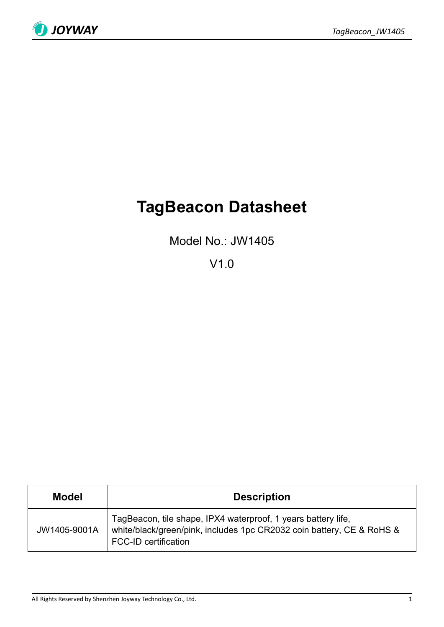

# **TagBeacon Datasheet**

Model No.: JW1405

V1.0

| <b>Model</b> | <b>Description</b>                                                                                                                                                    |  |  |
|--------------|-----------------------------------------------------------------------------------------------------------------------------------------------------------------------|--|--|
| JW1405-9001A | TagBeacon, tile shape, IPX4 waterproof, 1 years battery life,<br>white/black/green/pink, includes 1pc CR2032 coin battery, CE & RoHS &<br><b>FCC-ID certification</b> |  |  |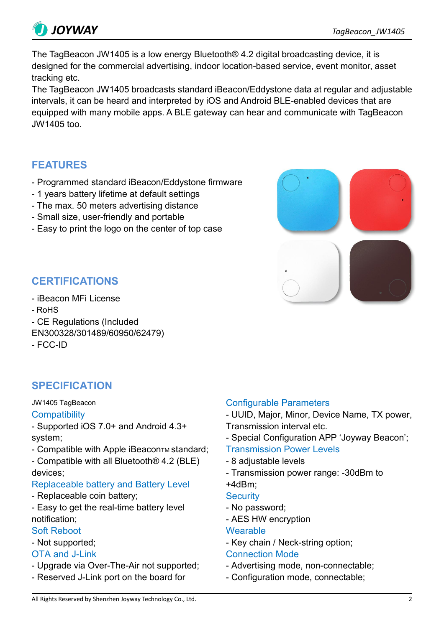

The TagBeacon JW1405 is a low energy Bluetooth® 4.2 digital broadcasting device, it is designed for the commercial advertising, indoor location-based service, event monitor, asset tracking etc.

The TagBeacon JW1405 broadcasts standard iBeacon/Eddystone data at regular and adjustable intervals, it can be heard and interpreted by iOS and Android BLE-enabled devices that are equipped with many mobile apps. A BLE gateway can hear and communicate with TagBeacon JW1405 too.

# **FEATURES**

- Programmed standard iBeacon/Eddystone firmware
- 1 years battery lifetime at default settings
- The max. 50 meters advertising distance
- Small size, user-friendly and portable
- Easy to print the logo on the center of top case



# **CERTIFICATIONS**

- iBeacon MFi License
- RoHS
- CE Regulations (Included
- EN300328/301489/60950/62479)
- FCC-ID

# **SPECIFICATION**

### JW1405 TagBeacon

### **Compatibility**

- Supported iOS 7.0+ and Android 4.3+ system;

- Compatible with Apple iBeaconTM standard;
- Compatible with all Bluetooth® 4.2 (BLE) devices;

# Replaceable battery and Battery Level

- Replaceable coin battery;
- Easy to get the real-time battery level notification;

# Soft Reboot

- Not supported;

# OTA and J-Link

- Upgrade via Over-The-Air not supported;
- Reserved J-Link port on the board for

# Configurable Parameters

- UUID, Major, Minor, Device Name, TX power, Transmission interval etc.

- Special Configuration APP 'Joyway Beacon';

### Transmission Power Levels

- 8 adjustable levels
- Transmission power range: -30dBm to +4dBm;

- **Security**
- No password;
- AES HW encryption

### **Wearable**

- Key chain / Neck-string option;

# Connection Mode

- Advertising mode, non-connectable;
- Configuration mode, connectable;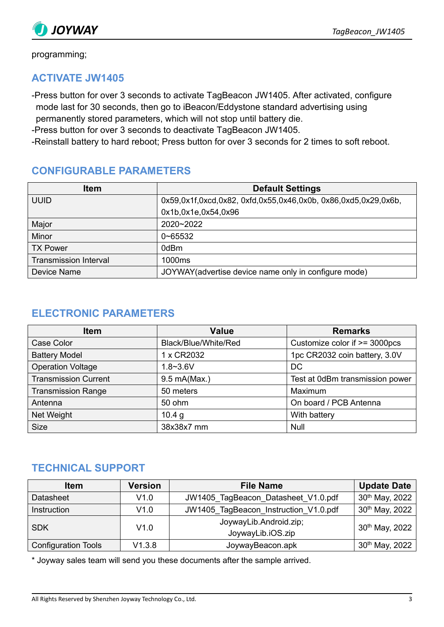

programming;

# **ACTIVATE JW1405**

-Press button for over 3 seconds to activate TagBeacon JW1405. After activated, configure mode last for 30 seconds, then go to iBeacon/Eddystone standard advertising using permanently stored parameters, which will not stop until battery die.

-Press button for over 3 seconds to deactivate TagBeacon JW1405.

-Reinstall battery to hard reboot; Press button for over 3 seconds for 2 times to soft reboot.

# **CONFIGURABLE PARAMETERS**

| <b>Item</b>                  | <b>Default Settings</b>                                        |
|------------------------------|----------------------------------------------------------------|
| <b>UUID</b>                  | 0x59,0x1f,0xcd,0x82, 0xfd,0x55,0x46,0x0b, 0x86,0xd5,0x29,0x6b, |
|                              | 0x1b,0x1e,0x54,0x96                                            |
| Major                        | $2020 - 2022$                                                  |
| Minor                        | $0 - 65532$                                                    |
| <b>TX Power</b>              | 0dBm                                                           |
| <b>Transmission Interval</b> | 1000ms                                                         |
| Device Name                  | JOYWAY (advertise device name only in configure mode)          |

# **ELECTRONIC PARAMETERS**

| <b>Item</b>                 | <b>Value</b>         | <b>Remarks</b>                  |
|-----------------------------|----------------------|---------------------------------|
| Case Color                  | Black/Blue/White/Red | Customize color if >= 3000pcs   |
| <b>Battery Model</b>        | 1 x CR2032           | 1pc CR2032 coin battery, 3.0V   |
| <b>Operation Voltage</b>    | $1.8 - 3.6V$         | DC                              |
| <b>Transmission Current</b> | 9.5 mA(Max.)         | Test at 0dBm transmission power |
| <b>Transmission Range</b>   | 50 meters            | Maximum                         |
| Antenna                     | 50 ohm               | On board / PCB Antenna          |
| Net Weight                  | 10.4 g               | With battery                    |
| <b>Size</b>                 | 38x38x7 mm           | <b>Null</b>                     |

# **TECHNICAL SUPPORT**

| <b>Item</b>                | <b>Version</b>             | <b>File Name</b>                      | <b>Update Date</b>         |
|----------------------------|----------------------------|---------------------------------------|----------------------------|
| <b>Datasheet</b>           | V1.0                       | JW1405_TagBeacon_Datasheet_V1.0.pdf   | 30 <sup>th</sup> May, 2022 |
| Instruction                | V1.0                       | JW1405_TagBeacon_Instruction_V1.0.pdf | $30th$ May, 2022           |
| <b>SDK</b>                 | V1.0                       | JoywayLib.Android.zip;                | 30th May, 2022             |
|                            |                            | JoywayLib.iOS.zip                     |                            |
| <b>Configuration Tools</b> | V1.3.8<br>JoywayBeacon.apk |                                       | 30th May, 2022             |

\* Joyway sales team will send you these documents after the sample arrived.